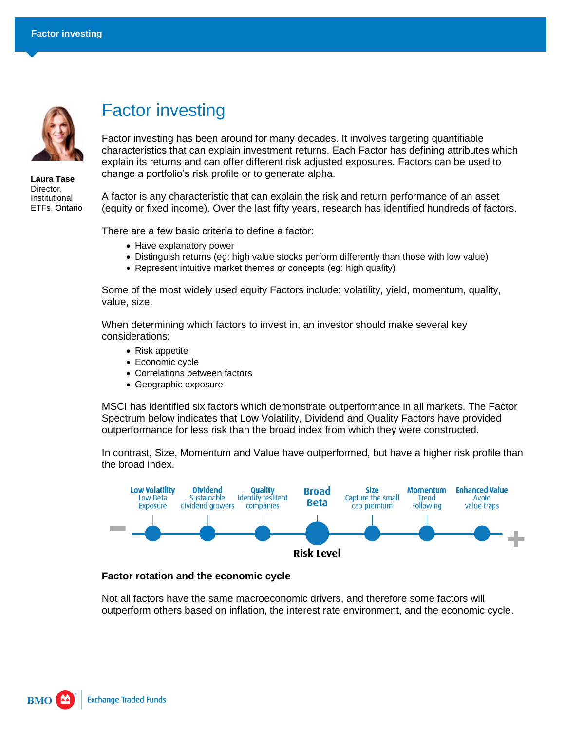

**Laura Tase** Director, Institutional ETFs, Ontario

## Factor investing

Factor investing has been around for many decades. It involves targeting quantifiable characteristics that can explain investment returns. Each Factor has defining attributes which explain its returns and can offer different risk adjusted exposures. Factors can be used to change a portfolio's risk profile or to generate alpha.

A factor is any characteristic that can explain the risk and return performance of an asset (equity or fixed income). Over the last fifty years, research has identified hundreds of factors.

There are a few basic criteria to define a factor:

- Have explanatory power
- Distinguish returns (eg: high value stocks perform differently than those with low value)
- Represent intuitive market themes or concepts (eg: high quality)

Some of the most widely used equity Factors include: volatility, yield, momentum, quality, value, size.

When determining which factors to invest in, an investor should make several key considerations:

- Risk appetite
- Economic cycle
- Correlations between factors
- Geographic exposure

MSCI has identified six factors which demonstrate outperformance in all markets. The Factor Spectrum below indicates that Low Volatility, Dividend and Quality Factors have provided outperformance for less risk than the broad index from which they were constructed.

In contrast, Size, Momentum and Value have outperformed, but have a higher risk profile than the broad index.



## **Factor rotation and the economic cycle**

Not all factors have the same macroeconomic drivers, and therefore some factors will outperform others based on inflation, the interest rate environment, and the economic cycle.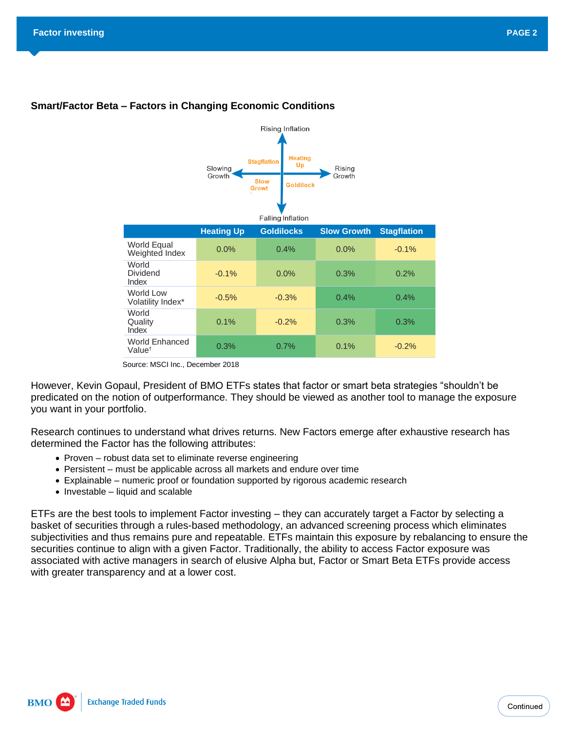

## **Smart/Factor Beta – Factors in Changing Economic Conditions**

Source: MSCI Inc., December 2018

However, Kevin Gopaul, President of BMO ETFs states that factor or smart beta strategies "shouldn't be predicated on the notion of outperformance. They should be viewed as another tool to manage the exposure you want in your portfolio.

Research continues to understand what drives returns. New Factors emerge after exhaustive research has determined the Factor has the following attributes:

- Proven robust data set to eliminate reverse engineering
- Persistent must be applicable across all markets and endure over time
- Explainable numeric proof or foundation supported by rigorous academic research
- Investable liquid and scalable

ETFs are the best tools to implement Factor investing – they can accurately target a Factor by selecting a basket of securities through a rules-based methodology, an advanced screening process which eliminates subjectivities and thus remains pure and repeatable. ETFs maintain this exposure by rebalancing to ensure the securities continue to align with a given Factor. Traditionally, the ability to access Factor exposure was associated with active managers in search of elusive Alpha but, Factor or Smart Beta ETFs provide access with greater transparency and at a lower cost.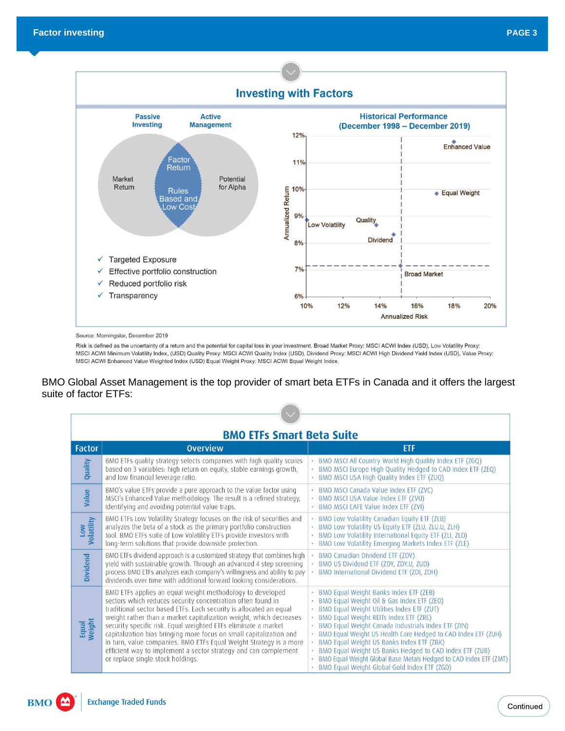

Source: Morningstar, December 2019

Risk is defined as the uncertainty of a return and the potential for capital loss in your investment. Broad Market Proxy: MSCI ACWI Index (USD), Low Volatility Proxy: MSCI ACWI Minimum Volatility Index, (USD) Quality Proxy: MSCI ACWI Quality Index (USD), Dividend Proxy: MSCI ACWI High Dividend Yield Index (USD), Value Proxy: MSCI ACWI Enhanced Value Weighted Index (USD) Equal Weight Proxy: MSCI ACWI Equal Weight Index.

## BMO Global Asset Management is the top provider of smart beta ETFs in Canada and it offers the largest suite of factor ETFs:

| <b>BMO ETFs Smart Beta Suite</b> |                                                                                                                                                                                                                                                                                                                                                                                                                                                                                                                                                                                             |                                                                                                                                                                                                                                                                                                                                                                                                                                                                                                                                             |
|----------------------------------|---------------------------------------------------------------------------------------------------------------------------------------------------------------------------------------------------------------------------------------------------------------------------------------------------------------------------------------------------------------------------------------------------------------------------------------------------------------------------------------------------------------------------------------------------------------------------------------------|---------------------------------------------------------------------------------------------------------------------------------------------------------------------------------------------------------------------------------------------------------------------------------------------------------------------------------------------------------------------------------------------------------------------------------------------------------------------------------------------------------------------------------------------|
| <b>Factor</b>                    | <b>Overview</b>                                                                                                                                                                                                                                                                                                                                                                                                                                                                                                                                                                             | <b>ETF</b>                                                                                                                                                                                                                                                                                                                                                                                                                                                                                                                                  |
| Quality                          | BMO ETFs quality strategy selects companies with high quality scores<br>based on 3 variables: high return on equity, stable earnings growth,<br>and low financial leverage ratio.                                                                                                                                                                                                                                                                                                                                                                                                           | · BMO MSCI All Country World High Quality Index ETF (ZGQ)<br>BMO MSCI Europe High Quality Hedged to CAD Index ETF (ZEQ)<br>- BMO MSCI USA High Quality Index ETF (ZUQ)                                                                                                                                                                                                                                                                                                                                                                      |
| Value                            | BMO's value ETFs provide a pure approach to the value factor using<br>MSCI's Enhanced Value methodology. The result is a refined strategy,<br>identifying and avoiding potential value traps.                                                                                                                                                                                                                                                                                                                                                                                               | · BMO MSCI Canada Value Index ETF (ZVC)<br>· BMO MSCI USA Value Index ETF (ZVU)<br>· BMO MSCI EAFE Value Index ETF (ZVI)                                                                                                                                                                                                                                                                                                                                                                                                                    |
| Low<br>Volatility                | BMO ETFs Low Volatility Strategy focuses on the risk of securities and<br>analyzes the beta of a stock as the primary portfolio construction<br>tool. BMO ETFs suite of Low Volatility ETFs provide investors with<br>long-term solutions that provide downside protection.                                                                                                                                                                                                                                                                                                                 | · BMO Low Volatility Canadian Equity ETF (ZLB)<br>· BMO Low Volatility US Equity ETF (ZLU, ZLU.U, ZLH)<br>BMO Low Volatility International Equity ETF (ZLI, ZLD)<br>· BMO Low Volatility Emerging Markets Index ETF (ZLE)                                                                                                                                                                                                                                                                                                                   |
| Dividend                         | BMO ETFs dividend approach is a customized strategy that combines high<br>yield with sustainable growth. Through an advanced 4 step screening<br>process BMO ETFs analyzes each company's willingness and ability to pay<br>dividends over time with additional forward looking considerations.                                                                                                                                                                                                                                                                                             | BMO Canadian Dividend ETF (ZDV)<br>· BMO US Dividend ETF (ZDY, ZDY.U, ZUD)<br>BMO International Dividend ETF (ZDI, ZDH)                                                                                                                                                                                                                                                                                                                                                                                                                     |
| Equal<br>Weight                  | BMO ETFs applies an equal weight methodology to developed<br>sectors which reduces security concentration often found in<br>traditional sector based ETFs. Each security is allocated an equal<br>weight rather than a market capitalization weight, which decreases<br>security specific risk. Equal weighted ETFs eliminate a market<br>capitalization bias bringing more focus on small capitalization and<br>in turn, value companies. BMO ETFs Equal Weight Strategy is a more<br>efficient way to implement a sector strategy and can complement<br>or replace single stock holdings. | · BMO Equal Weight Banks Index ETF (ZEB)<br>BMO Equal Weight Oil & Gas Index ETF (ZEO)<br>· BMO Equal Weight Utilities Index ETF (ZUT)<br>· BMO Equal Weight REITs Index ETF (ZRE)<br>BMO Equal Weight Canada Industrials Index ETF (ZIN)<br>. BMO Equal Weight US Health Care Hedged to CAD Index ETF (ZUH)<br>· BMO Equal Weight US Banks Index ETF (ZBK)<br>BMO Equal Weight US Banks Hedged to CAD Index ETF (ZUB)<br>BMO Equal Weight Global Base Metals Hedged to CAD Index ETF (ZMT)<br>BMO Equal Weight Global Gold Index ETF (ZGD) |